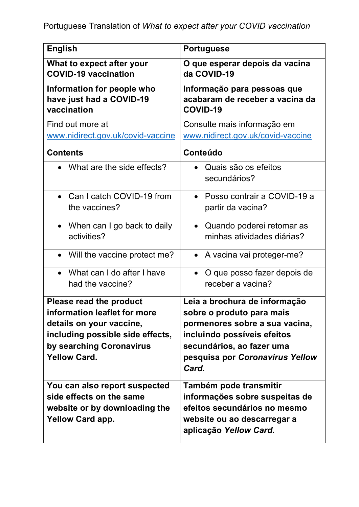| <b>English</b>                                                                                                                                                             | <b>Portuguese</b>                                                                                                                                                                                    |
|----------------------------------------------------------------------------------------------------------------------------------------------------------------------------|------------------------------------------------------------------------------------------------------------------------------------------------------------------------------------------------------|
| What to expect after your<br><b>COVID-19 vaccination</b>                                                                                                                   | O que esperar depois da vacina<br>da COVID-19                                                                                                                                                        |
| Information for people who<br>have just had a COVID-19<br>vaccination                                                                                                      | Informação para pessoas que<br>acabaram de receber a vacina da<br><b>COVID-19</b>                                                                                                                    |
| Find out more at<br>www.nidirect.gov.uk/covid-vaccine                                                                                                                      | Consulte mais informação em<br>www.nidirect.gov.uk/covid-vaccine                                                                                                                                     |
| <b>Contents</b>                                                                                                                                                            | Conteúdo                                                                                                                                                                                             |
| What are the side effects?                                                                                                                                                 | Quais são os efeitos<br>secundários?                                                                                                                                                                 |
| Can I catch COVID-19 from<br>the vaccines?                                                                                                                                 | Posso contrair a COVID-19 a<br>$\bullet$<br>partir da vacina?                                                                                                                                        |
| When can I go back to daily<br>$\bullet$<br>activities?                                                                                                                    | Quando poderei retomar as<br>$\bullet$<br>minhas atividades diárias?                                                                                                                                 |
| • Will the vaccine protect me?                                                                                                                                             | A vacina vai proteger-me?<br>$\bullet$                                                                                                                                                               |
| What can I do after I have<br>$\bullet$<br>had the vaccine?                                                                                                                | O que posso fazer depois de<br>$\bullet$<br>receber a vacina?                                                                                                                                        |
| Please read the product<br>information leaflet for more<br>details on your vaccine,<br>including possible side effects,<br>by searching Coronavirus<br><b>Yellow Card.</b> | Leia a brochura de informação<br>sobre o produto para mais<br>pormenores sobre a sua vacina,<br>incluindo possíveis efeitos<br>secundários, ao fazer uma<br>pesquisa por Coronavirus Yellow<br>Card. |
| You can also report suspected<br>side effects on the same<br>website or by downloading the<br><b>Yellow Card app.</b>                                                      | Também pode transmitir<br>informações sobre suspeitas de<br>efeitos secundários no mesmo<br>website ou ao descarregar a<br>aplicação Yellow Card.                                                    |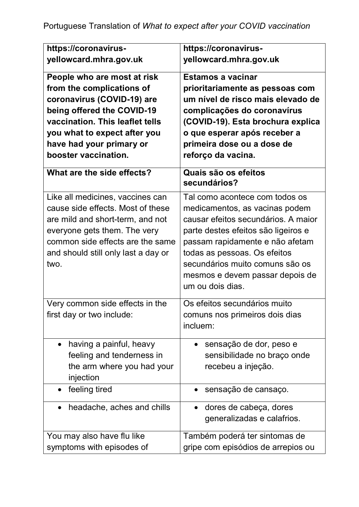| https://coronavirus-                                                                                                                                                                                                                        | https://coronavirus-                                                                                                                                                                                                                                                                                        |
|---------------------------------------------------------------------------------------------------------------------------------------------------------------------------------------------------------------------------------------------|-------------------------------------------------------------------------------------------------------------------------------------------------------------------------------------------------------------------------------------------------------------------------------------------------------------|
| yellowcard.mhra.gov.uk                                                                                                                                                                                                                      | yellowcard.mhra.gov.uk                                                                                                                                                                                                                                                                                      |
| People who are most at risk<br>from the complications of<br>coronavirus (COVID-19) are<br>being offered the COVID-19<br>vaccination. This leaflet tells<br>you what to expect after you<br>have had your primary or<br>booster vaccination. | <b>Estamos a vacinar</b><br>prioritariamente as pessoas com<br>um nível de risco mais elevado de<br>complicações do coronavírus<br>(COVID-19). Esta brochura explica<br>o que esperar após receber a<br>primeira dose ou a dose de<br>reforço da vacina.                                                    |
| What are the side effects?                                                                                                                                                                                                                  | Quais são os efeitos<br>secundários?                                                                                                                                                                                                                                                                        |
| Like all medicines, vaccines can<br>cause side effects. Most of these<br>are mild and short-term, and not<br>everyone gets them. The very<br>common side effects are the same<br>and should still only last a day or<br>two.                | Tal como acontece com todos os<br>medicamentos, as vacinas podem<br>causar efeitos secundários. A maior<br>parte destes efeitos são ligeiros e<br>passam rapidamente e não afetam<br>todas as pessoas. Os efeitos<br>secundários muito comuns são os<br>mesmos e devem passar depois de<br>um ou dois dias. |
| Very common side effects in the<br>first day or two include:                                                                                                                                                                                | Os efeitos secundários muito<br>comuns nos primeiros dois dias<br>incluem:                                                                                                                                                                                                                                  |
| having a painful, heavy<br>$\bullet$<br>feeling and tenderness in<br>the arm where you had your<br>injection                                                                                                                                | sensação de dor, peso e<br>$\bullet$<br>sensibilidade no braço onde<br>recebeu a injeção.                                                                                                                                                                                                                   |
| feeling tired                                                                                                                                                                                                                               | sensação de cansaço.                                                                                                                                                                                                                                                                                        |
| headache, aches and chills<br>$\bullet$                                                                                                                                                                                                     | dores de cabeça, dores<br>$\bullet$<br>generalizadas e calafrios.                                                                                                                                                                                                                                           |
| You may also have flu like                                                                                                                                                                                                                  | Também poderá ter sintomas de                                                                                                                                                                                                                                                                               |
| symptoms with episodes of                                                                                                                                                                                                                   | gripe com episódios de arrepios ou                                                                                                                                                                                                                                                                          |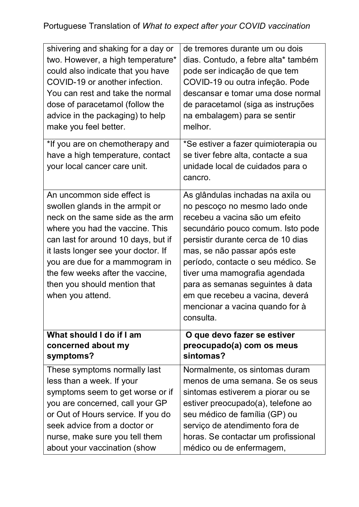| shivering and shaking for a day or                                                                                                                                                                                                                                                                                                           | de tremores durante um ou dois                                                                                                                                                                                                                                                                                                                                                                                |
|----------------------------------------------------------------------------------------------------------------------------------------------------------------------------------------------------------------------------------------------------------------------------------------------------------------------------------------------|---------------------------------------------------------------------------------------------------------------------------------------------------------------------------------------------------------------------------------------------------------------------------------------------------------------------------------------------------------------------------------------------------------------|
| two. However, a high temperature*                                                                                                                                                                                                                                                                                                            | dias. Contudo, a febre alta* também                                                                                                                                                                                                                                                                                                                                                                           |
| could also indicate that you have                                                                                                                                                                                                                                                                                                            | pode ser indicação de que tem                                                                                                                                                                                                                                                                                                                                                                                 |
| COVID-19 or another infection.                                                                                                                                                                                                                                                                                                               | COVID-19 ou outra infeção. Pode                                                                                                                                                                                                                                                                                                                                                                               |
| You can rest and take the normal                                                                                                                                                                                                                                                                                                             | descansar e tomar uma dose normal                                                                                                                                                                                                                                                                                                                                                                             |
| dose of paracetamol (follow the                                                                                                                                                                                                                                                                                                              | de paracetamol (siga as instruções                                                                                                                                                                                                                                                                                                                                                                            |
| advice in the packaging) to help                                                                                                                                                                                                                                                                                                             | na embalagem) para se sentir                                                                                                                                                                                                                                                                                                                                                                                  |
| make you feel better.                                                                                                                                                                                                                                                                                                                        | melhor.                                                                                                                                                                                                                                                                                                                                                                                                       |
| *If you are on chemotherapy and<br>have a high temperature, contact<br>your local cancer care unit.                                                                                                                                                                                                                                          | *Se estiver a fazer quimioterapia ou<br>se tiver febre alta, contacte a sua<br>unidade local de cuidados para o<br>cancro.                                                                                                                                                                                                                                                                                    |
| An uncommon side effect is<br>swollen glands in the armpit or<br>neck on the same side as the arm<br>where you had the vaccine. This<br>can last for around 10 days, but if<br>it lasts longer see your doctor. If<br>you are due for a mammogram in<br>the few weeks after the vaccine,<br>then you should mention that<br>when you attend. | As glândulas inchadas na axila ou<br>no pescoço no mesmo lado onde<br>recebeu a vacina são um efeito<br>secundário pouco comum. Isto pode<br>persistir durante cerca de 10 dias<br>mas, se não passar após este<br>período, contacte o seu médico. Se<br>tiver uma mamografia agendada<br>para as semanas seguintes à data<br>em que recebeu a vacina, deverá<br>mencionar a vacina quando for à<br>consulta. |
| What should I do if I am                                                                                                                                                                                                                                                                                                                     | O que devo fazer se estiver                                                                                                                                                                                                                                                                                                                                                                                   |
| concerned about my                                                                                                                                                                                                                                                                                                                           | preocupado(a) com os meus                                                                                                                                                                                                                                                                                                                                                                                     |
| symptoms?                                                                                                                                                                                                                                                                                                                                    | sintomas?                                                                                                                                                                                                                                                                                                                                                                                                     |
| These symptoms normally last                                                                                                                                                                                                                                                                                                                 | Normalmente, os sintomas duram                                                                                                                                                                                                                                                                                                                                                                                |
| less than a week. If your                                                                                                                                                                                                                                                                                                                    | menos de uma semana. Se os seus                                                                                                                                                                                                                                                                                                                                                                               |
| symptoms seem to get worse or if                                                                                                                                                                                                                                                                                                             | sintomas estiverem a piorar ou se                                                                                                                                                                                                                                                                                                                                                                             |
| you are concerned, call your GP                                                                                                                                                                                                                                                                                                              | estiver preocupado(a), telefone ao                                                                                                                                                                                                                                                                                                                                                                            |
| or Out of Hours service. If you do                                                                                                                                                                                                                                                                                                           | seu médico de família (GP) ou                                                                                                                                                                                                                                                                                                                                                                                 |
| seek advice from a doctor or                                                                                                                                                                                                                                                                                                                 | serviço de atendimento fora de                                                                                                                                                                                                                                                                                                                                                                                |
| nurse, make sure you tell them                                                                                                                                                                                                                                                                                                               | horas. Se contactar um profissional                                                                                                                                                                                                                                                                                                                                                                           |
| about your vaccination (show                                                                                                                                                                                                                                                                                                                 | médico ou de enfermagem,                                                                                                                                                                                                                                                                                                                                                                                      |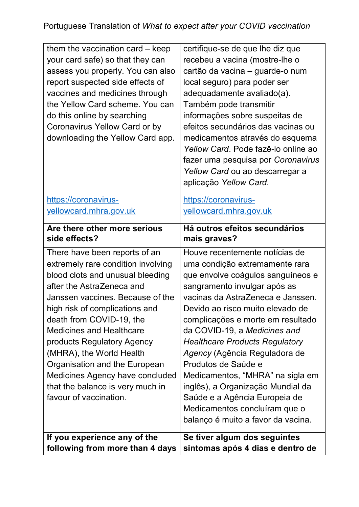| them the vaccination card $-$ keep<br>your card safe) so that they can<br>assess you properly. You can also<br>report suspected side effects of<br>vaccines and medicines through<br>the Yellow Card scheme. You can<br>do this online by searching<br>Coronavirus Yellow Card or by<br>downloading the Yellow Card app.                                                                                                                                              | certifique-se de que lhe diz que<br>recebeu a vacina (mostre-lhe o<br>cartão da vacina - guarde-o num<br>local seguro) para poder ser<br>adequadamente avaliado(a).<br>Também pode transmitir<br>informações sobre suspeitas de<br>efeitos secundários das vacinas ou<br>medicamentos através do esquema<br>Yellow Card. Pode fazê-lo online ao<br>fazer uma pesquisa por Coronavirus<br>Yellow Card ou ao descarregar a<br>aplicação Yellow Card.                                                                                                                    |
|-----------------------------------------------------------------------------------------------------------------------------------------------------------------------------------------------------------------------------------------------------------------------------------------------------------------------------------------------------------------------------------------------------------------------------------------------------------------------|-----------------------------------------------------------------------------------------------------------------------------------------------------------------------------------------------------------------------------------------------------------------------------------------------------------------------------------------------------------------------------------------------------------------------------------------------------------------------------------------------------------------------------------------------------------------------|
| https://coronavirus-                                                                                                                                                                                                                                                                                                                                                                                                                                                  | https://coronavirus-                                                                                                                                                                                                                                                                                                                                                                                                                                                                                                                                                  |
| yellowcard.mhra.gov.uk                                                                                                                                                                                                                                                                                                                                                                                                                                                | yellowcard.mhra.gov.uk                                                                                                                                                                                                                                                                                                                                                                                                                                                                                                                                                |
| Are there other more serious                                                                                                                                                                                                                                                                                                                                                                                                                                          | Há outros efeitos secundários                                                                                                                                                                                                                                                                                                                                                                                                                                                                                                                                         |
| side effects?                                                                                                                                                                                                                                                                                                                                                                                                                                                         | mais graves?                                                                                                                                                                                                                                                                                                                                                                                                                                                                                                                                                          |
| There have been reports of an<br>extremely rare condition involving<br>blood clots and unusual bleeding<br>after the AstraZeneca and<br>Janssen vaccines. Because of the<br>high risk of complications and<br>death from COVID-19, the<br><b>Medicines and Healthcare</b><br>products Regulatory Agency<br>(MHRA), the World Health<br>Organisation and the European<br>Medicines Agency have concluded<br>that the balance is very much in<br>favour of vaccination. | Houve recentemente notícias de<br>uma condição extremamente rara<br>que envolve coágulos sanguíneos e<br>sangramento invulgar após as<br>vacinas da AstraZeneca e Janssen.<br>Devido ao risco muito elevado de<br>complicações e morte em resultado<br>da COVID-19, a Medicines and<br><b>Healthcare Products Regulatory</b><br>Agency (Agência Reguladora de<br>Produtos de Saúde e<br>Medicamentos, "MHRA" na sigla em<br>inglês), a Organização Mundial da<br>Saúde e a Agência Europeia de<br>Medicamentos concluíram que o<br>balanço é muito a favor da vacina. |
| If you experience any of the                                                                                                                                                                                                                                                                                                                                                                                                                                          | Se tiver algum dos seguintes                                                                                                                                                                                                                                                                                                                                                                                                                                                                                                                                          |
| following from more than 4 days                                                                                                                                                                                                                                                                                                                                                                                                                                       | sintomas após 4 dias e dentro de                                                                                                                                                                                                                                                                                                                                                                                                                                                                                                                                      |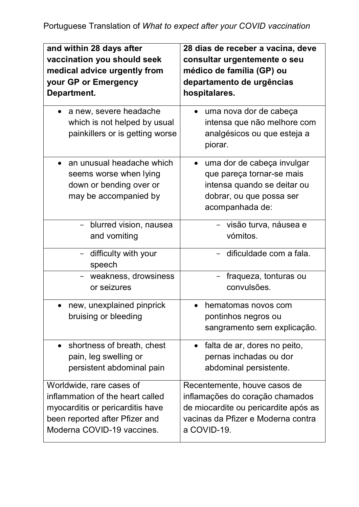| and within 28 days after<br>vaccination you should seek                                                                                                          | 28 dias de receber a vacina, deve<br>consultar urgentemente o seu                                                                                            |
|------------------------------------------------------------------------------------------------------------------------------------------------------------------|--------------------------------------------------------------------------------------------------------------------------------------------------------------|
| medical advice urgently from                                                                                                                                     | médico de família (GP) ou                                                                                                                                    |
| your GP or Emergency                                                                                                                                             | departamento de urgências                                                                                                                                    |
| Department.                                                                                                                                                      | hospitalares.                                                                                                                                                |
| a new, severe headache<br>which is not helped by usual<br>painkillers or is getting worse                                                                        | uma nova dor de cabeça<br>intensa que não melhore com<br>analgésicos ou que esteja a<br>piorar.                                                              |
| an unusual headache which<br>seems worse when lying<br>down or bending over or<br>may be accompanied by                                                          | uma dor de cabeça invulgar<br>$\bullet$<br>que pareça tornar-se mais<br>intensa quando se deitar ou<br>dobrar, ou que possa ser<br>acompanhada de:           |
| blurred vision, nausea<br>and vomiting                                                                                                                           | - visão turva, náusea e<br>vómitos.                                                                                                                          |
| difficulty with your<br>speech                                                                                                                                   | - dificuldade com a fala.                                                                                                                                    |
| weakness, drowsiness<br>or seizures                                                                                                                              | fraqueza, tonturas ou<br>convulsões.                                                                                                                         |
| new, unexplained pinprick                                                                                                                                        | hematomas novos com                                                                                                                                          |
| bruising or bleeding                                                                                                                                             | pontinhos negros ou<br>sangramento sem explicação.                                                                                                           |
| shortness of breath, chest<br>$\bullet$<br>pain, leg swelling or<br>persistent abdominal pain                                                                    | falta de ar, dores no peito,<br>$\bullet$<br>pernas inchadas ou dor<br>abdominal persistente.                                                                |
| Worldwide, rare cases of<br>inflammation of the heart called<br>myocarditis or pericarditis have<br>been reported after Pfizer and<br>Moderna COVID-19 vaccines. | Recentemente, houve casos de<br>inflamações do coração chamados<br>de miocardite ou pericardite após as<br>vacinas da Pfizer e Moderna contra<br>a COVID-19. |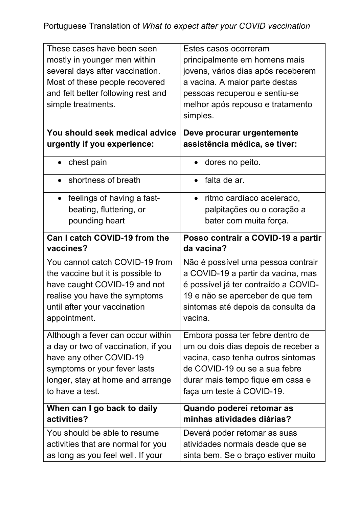| These cases have been seen                 | Estes casos ocorreram                            |
|--------------------------------------------|--------------------------------------------------|
| mostly in younger men within               | principalmente em homens mais                    |
| several days after vaccination.            | jovens, vários dias após receberem               |
| Most of these people recovered             | a vacina. A maior parte destas                   |
| and felt better following rest and         | pessoas recuperou e sentiu-se                    |
| simple treatments.                         | melhor após repouso e tratamento                 |
|                                            | simples.                                         |
| You should seek medical advice             | Deve procurar urgentemente                       |
| urgently if you experience:                | assistência médica, se tiver:                    |
| chest pain                                 | dores no peito.                                  |
| shortness of breath<br>$\bullet$           | falta de ar.<br>$\bullet$                        |
| feelings of having a fast-<br>$\bullet$    | ritmo cardíaco acelerado,<br>$\bullet$           |
| beating, fluttering, or                    | palpitações ou o coração a                       |
| pounding heart                             | bater com muita força.                           |
| Can I catch COVID-19 from the<br>vaccines? | Posso contrair a COVID-19 a partir<br>da vacina? |
| You cannot catch COVID-19 from             | Não é possível uma pessoa contrair               |
| the vaccine but it is possible to          | a COVID-19 a partir da vacina, mas               |
| have caught COVID-19 and not               | é possível já ter contraído a COVID-             |
| realise you have the symptoms              | 19 e não se aperceber de que tem                 |
| until after your vaccination               | sintomas até depois da consulta da               |
| appointment.                               | vacina.                                          |
| Although a fever can occur within          | Embora possa ter febre dentro de                 |
| a day or two of vaccination, if you        | um ou dois dias depois de receber a              |
| have any other COVID-19                    | vacina, caso tenha outros sintomas               |
| symptoms or your fever lasts               | de COVID-19 ou se a sua febre                    |
| longer, stay at home and arrange           | durar mais tempo fique em casa e                 |
| to have a test.                            | faça um teste à COVID-19.                        |
| When can I go back to daily                | Quando poderei retomar as                        |
| activities?                                | minhas atividades diárias?                       |
|                                            |                                                  |
| You should be able to resume               | Deverá poder retomar as suas                     |
| activities that are normal for you         | atividades normais desde que se                  |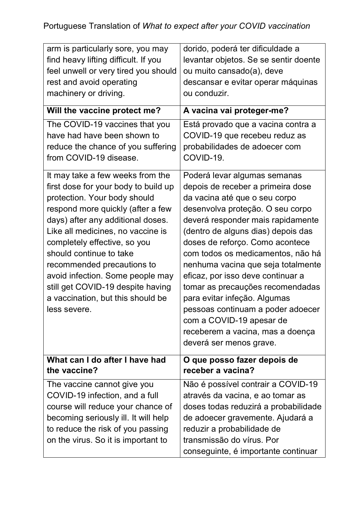| arm is particularly sore, you may<br>find heavy lifting difficult. If you<br>feel unwell or very tired you should<br>rest and avoid operating<br>machinery or driving.                                                                                                                                                                                                                                                                        | dorido, poderá ter dificuldade a<br>levantar objetos. Se se sentir doente<br>ou muito cansado(a), deve<br>descansar e evitar operar máquinas<br>ou conduzir.                                                                                                                                                                                                                                                                                                                                                                                                             |
|-----------------------------------------------------------------------------------------------------------------------------------------------------------------------------------------------------------------------------------------------------------------------------------------------------------------------------------------------------------------------------------------------------------------------------------------------|--------------------------------------------------------------------------------------------------------------------------------------------------------------------------------------------------------------------------------------------------------------------------------------------------------------------------------------------------------------------------------------------------------------------------------------------------------------------------------------------------------------------------------------------------------------------------|
| Will the vaccine protect me?                                                                                                                                                                                                                                                                                                                                                                                                                  | A vacina vai proteger-me?                                                                                                                                                                                                                                                                                                                                                                                                                                                                                                                                                |
| The COVID-19 vaccines that you<br>have had have been shown to<br>reduce the chance of you suffering<br>from COVID-19 disease.                                                                                                                                                                                                                                                                                                                 | Está provado que a vacina contra a<br>COVID-19 que recebeu reduz as<br>probabilidades de adoecer com<br>COVID-19.                                                                                                                                                                                                                                                                                                                                                                                                                                                        |
| It may take a few weeks from the<br>first dose for your body to build up<br>protection. Your body should<br>respond more quickly (after a few<br>days) after any additional doses.<br>Like all medicines, no vaccine is<br>completely effective, so you<br>should continue to take<br>recommended precautions to<br>avoid infection. Some people may<br>still get COVID-19 despite having<br>a vaccination, but this should be<br>less severe | Poderá levar algumas semanas<br>depois de receber a primeira dose<br>da vacina até que o seu corpo<br>desenvolva proteção. O seu corpo<br>deverá responder mais rapidamente<br>(dentro de alguns dias) depois das<br>doses de reforço. Como acontece<br>com todos os medicamentos, não há<br>nenhuma vacina que seja totalmente<br>eficaz, por isso deve continuar a<br>tomar as precauções recomendadas<br>para evitar infeção. Algumas<br>pessoas continuam a poder adoecer<br>com a COVID-19 apesar de<br>receberem a vacina, mas a doença<br>deverá ser menos grave. |
| What can I do after I have had<br>the vaccine?                                                                                                                                                                                                                                                                                                                                                                                                | O que posso fazer depois de<br>receber a vacina?                                                                                                                                                                                                                                                                                                                                                                                                                                                                                                                         |
| The vaccine cannot give you<br>COVID-19 infection, and a full<br>course will reduce your chance of<br>becoming seriously ill. It will help<br>to reduce the risk of you passing<br>on the virus. So it is important to                                                                                                                                                                                                                        | Não é possível contrair a COVID-19<br>através da vacina, e ao tomar as<br>doses todas reduzirá a probabilidade<br>de adoecer gravemente. Ajudará a<br>reduzir a probabilidade de<br>transmissão do vírus. Por<br>conseguinte, é importante continuar                                                                                                                                                                                                                                                                                                                     |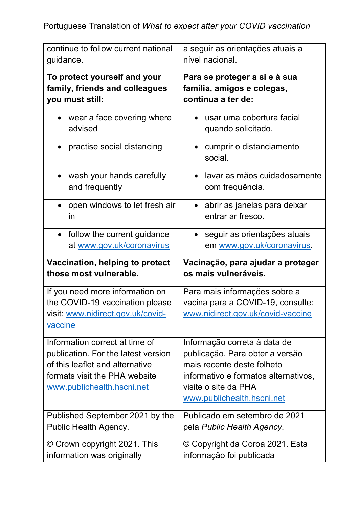| continue to follow current national                                                                                                                                     | a seguir as orientações atuais a                                                                                                                                                            |
|-------------------------------------------------------------------------------------------------------------------------------------------------------------------------|---------------------------------------------------------------------------------------------------------------------------------------------------------------------------------------------|
| guidance.                                                                                                                                                               | nível nacional.                                                                                                                                                                             |
| To protect yourself and your                                                                                                                                            | Para se proteger a si e à sua                                                                                                                                                               |
| family, friends and colleagues                                                                                                                                          | família, amigos e colegas,                                                                                                                                                                  |
| you must still:                                                                                                                                                         | continua a ter de:                                                                                                                                                                          |
| wear a face covering where                                                                                                                                              | usar uma cobertura facial                                                                                                                                                                   |
| advised                                                                                                                                                                 | quando solicitado.                                                                                                                                                                          |
| practise social distancing                                                                                                                                              | cumprir o distanciamento<br>social.                                                                                                                                                         |
| wash your hands carefully                                                                                                                                               | lavar as mãos cuidadosamente                                                                                                                                                                |
| and frequently                                                                                                                                                          | com frequência.                                                                                                                                                                             |
| open windows to let fresh air                                                                                                                                           | abrir as janelas para deixar                                                                                                                                                                |
| $\bullet$                                                                                                                                                               | $\bullet$                                                                                                                                                                                   |
| in                                                                                                                                                                      | entrar ar fresco.                                                                                                                                                                           |
| follow the current guidance                                                                                                                                             | seguir as orientações atuais                                                                                                                                                                |
| $\bullet$                                                                                                                                                               | $\bullet$                                                                                                                                                                                   |
| at www.gov.uk/coronavirus                                                                                                                                               | em www.gov.uk/coronavirus.                                                                                                                                                                  |
|                                                                                                                                                                         |                                                                                                                                                                                             |
| Vaccination, helping to protect                                                                                                                                         | Vacinação, para ajudar a proteger                                                                                                                                                           |
| those most vulnerable.                                                                                                                                                  | os mais vulneráveis.                                                                                                                                                                        |
| If you need more information on<br>the COVID-19 vaccination please<br>visit: www.nidirect.gov.uk/covid-<br><b>vaccine</b>                                               | Para mais informações sobre a<br>vacina para a COVID-19, consulte:<br>www.nidirect.gov.uk/covid-vaccine                                                                                     |
| Information correct at time of<br>publication. For the latest version<br>of this leaflet and alternative<br>formats visit the PHA website<br>www.publichealth.hscni.net | Informação correta à data de<br>publicação. Para obter a versão<br>mais recente deste folheto<br>informativo e formatos alternativos,<br>visite o site da PHA<br>www.publichealth.hscni.net |
| Published September 2021 by the                                                                                                                                         | Publicado em setembro de 2021                                                                                                                                                               |
| Public Health Agency.                                                                                                                                                   | pela Public Health Agency.                                                                                                                                                                  |